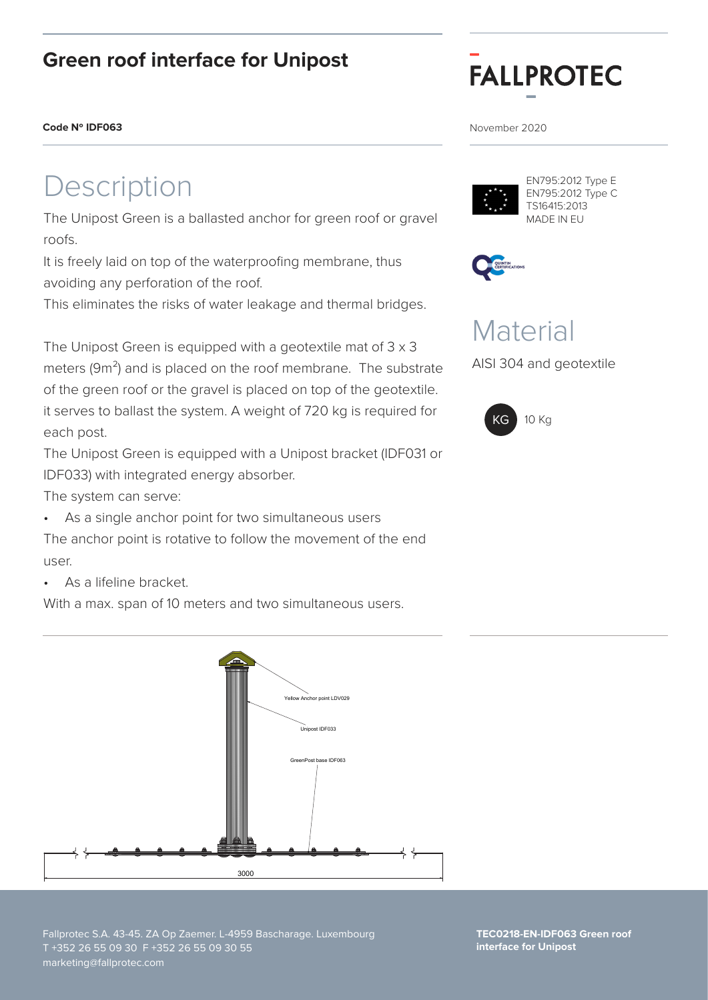### **Green roof interface for Unipost**

#### **Code N° IDF063** November 2020

# escription

The Unipost Green is a ballasted anchor for green roof or gravel roofs.

It is freely laid on top of the waterproofing membrane, thus avoiding any perforation of the roof.

This eliminates the risks of water leakage and thermal bridges.

The Unipost Green is equipped with a geotextile mat of 3 x 3 meters (9m<sup>2</sup>) and is placed on the roof membrane. The substrate of the green roof or the gravel is placed on top of the geotextile. it serves to ballast the system. A weight of 720 kg is required for each post.

The Unipost Green is equipped with a Unipost bracket (IDF031 or IDF033) with integrated energy absorber.

The system can serve:

As a single anchor point for two simultaneous users

The anchor point is rotative to follow the movement of the end user.

• As a lifeline bracket.

With a max. span of 10 meters and two simultaneous users.



# **FALLPROTEC**



EN795:2012 Type E EN795:2012 Type C TS16415:2013 MADE IN EU



## **Material**

AISI 304 and geotextile



Fallprotec S.A. 43-45. ZA Op Zaemer. L-4959 Bascharage. Luxembourg T +352 26 55 09 30 F +352 26 55 09 30 55 marketing@fallprotec.com

**TEC0218-EN-IDF063 Green roof interface for Unipost**